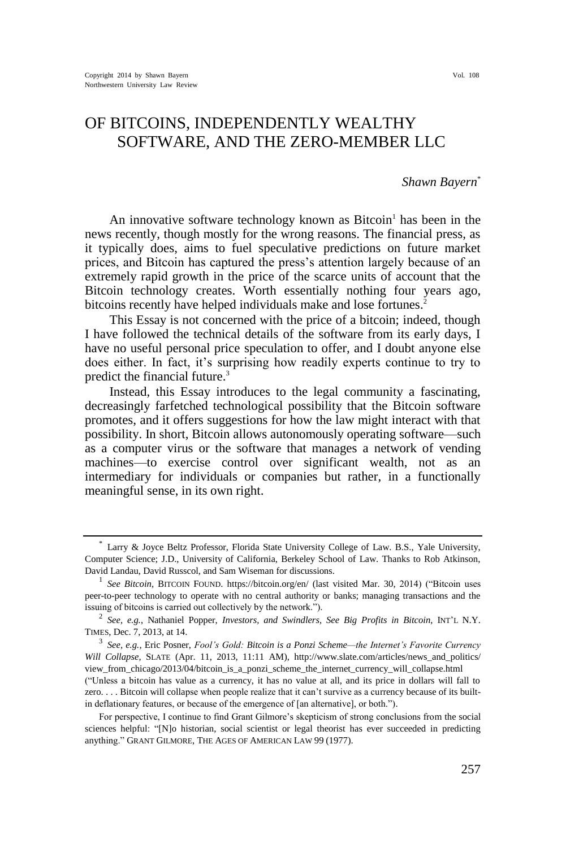# OF BITCOINS, INDEPENDENTLY WEALTHY SOFTWARE, AND THE ZERO-MEMBER LLC

### *Shawn Bayern*\*

An innovative software technology known as  $Bitcoin<sup>1</sup>$  has been in the news recently, though mostly for the wrong reasons. The financial press, as it typically does, aims to fuel speculative predictions on future market prices, and Bitcoin has captured the press's attention largely because of an extremely rapid growth in the price of the scarce units of account that the Bitcoin technology creates. Worth essentially nothing four years ago, bitcoins recently have helped individuals make and lose fortunes.<sup>2</sup>

This Essay is not concerned with the price of a bitcoin; indeed, though I have followed the technical details of the software from its early days, I have no useful personal price speculation to offer, and I doubt anyone else does either. In fact, it's surprising how readily experts continue to try to predict the financial future.<sup>3</sup>

Instead, this Essay introduces to the legal community a fascinating, decreasingly farfetched technological possibility that the Bitcoin software promotes, and it offers suggestions for how the law might interact with that possibility. In short, Bitcoin allows autonomously operating software—such as a computer virus or the software that manages a network of vending machines—to exercise control over significant wealth, not as an intermediary for individuals or companies but rather, in a functionally meaningful sense, in its own right.

<sup>\*</sup> Larry & Joyce Beltz Professor, Florida State University College of Law. B.S., Yale University, Computer Science; J.D., University of California, Berkeley School of Law. Thanks to Rob Atkinson, David Landau, David Russcol, and Sam Wiseman for discussions.

<sup>&</sup>lt;sup>1</sup> See Bitcoin, BITCOIN FOUND. https://bitcoin.org/en/ (last visited Mar. 30, 2014) ("Bitcoin uses peer-to-peer technology to operate with no central authority or banks; managing transactions and the issuing of bitcoins is carried out collectively by the network.").

<sup>2</sup> *See, e.g.*, Nathaniel Popper, *Investors, and Swindlers, See Big Profits in Bitcoin*, INT'L N.Y. TIMES, Dec. 7, 2013, at 14.

<sup>3</sup> *See, e.g.*, Eric Posner, *Fool's Gold: Bitcoin is a Ponzi Scheme—the Internet's Favorite Currency Will Collapse*, SLATE (Apr. 11, 2013, 11:11 AM), http://www.slate.com/articles/news\_and\_politics/ view\_from\_chicago/2013/04/bitcoin\_is\_a\_ponzi\_scheme\_the\_internet\_currency\_will\_collapse.html

<sup>(&</sup>quot;Unless a bitcoin has value as a currency, it has no value at all, and its price in dollars will fall to zero. . . . Bitcoin will collapse when people realize that it can't survive as a currency because of its builtin deflationary features, or because of the emergence of [an alternative], or both.").

For perspective, I continue to find Grant Gilmore's skepticism of strong conclusions from the social sciences helpful: "[N]o historian, social scientist or legal theorist has ever succeeded in predicting anything." GRANT GILMORE, THE AGES OF AMERICAN LAW 99 (1977).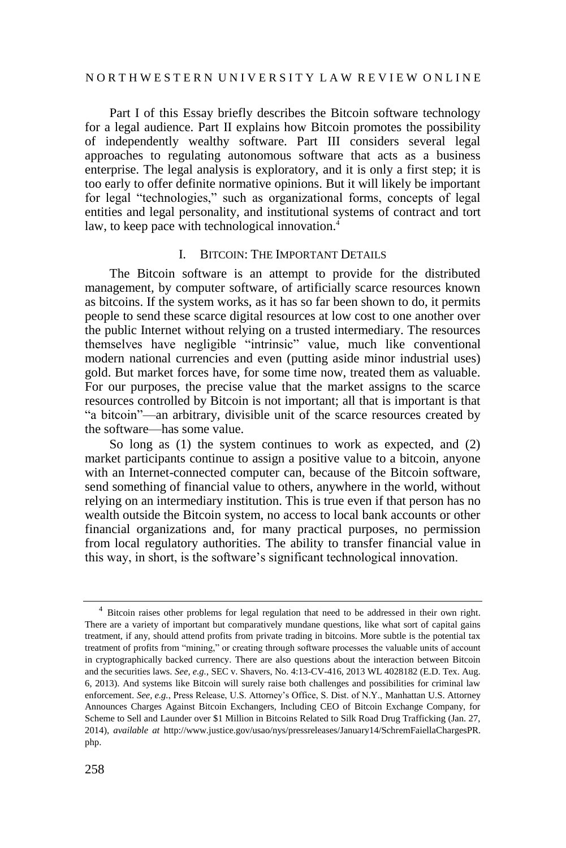#### N O R T H W E S T E R N U N I V E R S I T Y L A W R E V I E W O N L I N E

Part I of this Essay briefly describes the Bitcoin software technology for a legal audience. Part II explains how Bitcoin promotes the possibility of independently wealthy software. Part III considers several legal approaches to regulating autonomous software that acts as a business enterprise. The legal analysis is exploratory, and it is only a first step; it is too early to offer definite normative opinions. But it will likely be important for legal "technologies," such as organizational forms, concepts of legal entities and legal personality, and institutional systems of contract and tort law, to keep pace with technological innovation.<sup>4</sup>

#### I. BITCOIN: THE IMPORTANT DETAILS

The Bitcoin software is an attempt to provide for the distributed management, by computer software, of artificially scarce resources known as bitcoins. If the system works, as it has so far been shown to do, it permits people to send these scarce digital resources at low cost to one another over the public Internet without relying on a trusted intermediary. The resources themselves have negligible "intrinsic" value, much like conventional modern national currencies and even (putting aside minor industrial uses) gold. But market forces have, for some time now, treated them as valuable. For our purposes, the precise value that the market assigns to the scarce resources controlled by Bitcoin is not important; all that is important is that "a bitcoin"—an arbitrary, divisible unit of the scarce resources created by the software—has some value.

So long as (1) the system continues to work as expected, and (2) market participants continue to assign a positive value to a bitcoin, anyone with an Internet-connected computer can, because of the Bitcoin software, send something of financial value to others, anywhere in the world, without relying on an intermediary institution. This is true even if that person has no wealth outside the Bitcoin system, no access to local bank accounts or other financial organizations and, for many practical purposes, no permission from local regulatory authorities. The ability to transfer financial value in this way, in short, is the software's significant technological innovation.

<sup>&</sup>lt;sup>4</sup> Bitcoin raises other problems for legal regulation that need to be addressed in their own right. There are a variety of important but comparatively mundane questions, like what sort of capital gains treatment, if any, should attend profits from private trading in bitcoins. More subtle is the potential tax treatment of profits from "mining," or creating through software processes the valuable units of account in cryptographically backed currency. There are also questions about the interaction between Bitcoin and the securities laws. *See, e.g.*, SEC v. Shavers, No. 4:13-CV-416, 2013 WL 4028182 (E.D. Tex. Aug. 6, 2013). And systems like Bitcoin will surely raise both challenges and possibilities for criminal law enforcement. *See, e.g.*, Press Release, U.S. Attorney's Office, S. Dist. of N.Y., Manhattan U.S. Attorney Announces Charges Against Bitcoin Exchangers, Including CEO of Bitcoin Exchange Company, for Scheme to Sell and Launder over \$1 Million in Bitcoins Related to Silk Road Drug Trafficking (Jan. 27, 2014), *available at* http://www.justice.gov/usao/nys/pressreleases/January14/SchremFaiellaChargesPR. php.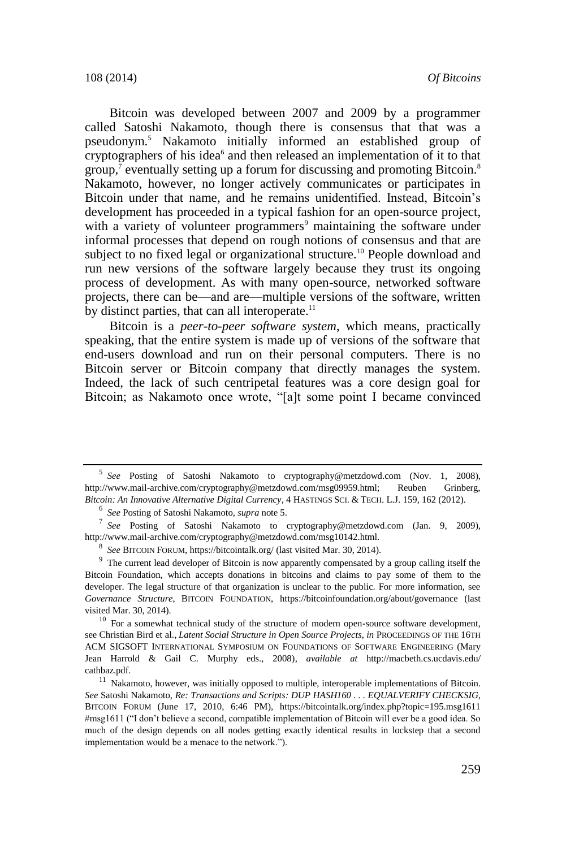<span id="page-2-0"></span>Bitcoin was developed between 2007 and 2009 by a programmer called Satoshi Nakamoto, though there is consensus that that was a pseudonym.<sup>5</sup> Nakamoto initially informed an established group of cryptographers of his idea<sup>6</sup> and then released an implementation of it to that group,<sup>7</sup> eventually setting up a forum for discussing and promoting Bitcoin.<sup>8</sup> Nakamoto, however, no longer actively communicates or participates in Bitcoin under that name, and he remains unidentified. Instead, Bitcoin's development has proceeded in a typical fashion for an open-source project, with a variety of volunteer programmers<sup>9</sup> maintaining the software under informal processes that depend on rough notions of consensus and that are subject to no fixed legal or organizational structure.<sup>10</sup> People download and run new versions of the software largely because they trust its ongoing process of development. As with many open-source, networked software projects, there can be—and are—multiple versions of the software, written by distinct parties, that can all interoperate.<sup>11</sup>

<span id="page-2-1"></span>Bitcoin is a *peer-to-peer software system*, which means, practically speaking, that the entire system is made up of versions of the software that end-users download and run on their personal computers. There is no Bitcoin server or Bitcoin company that directly manages the system. Indeed, the lack of such centripetal features was a core design goal for Bitcoin; as Nakamoto once wrote, "[a]t some point I became convinced

6 *See* Posting of Satoshi Nakamoto, *supra* not[e 5.](#page-2-0)

7 *See* Posting of Satoshi Nakamoto to cryptography@metzdowd.com (Jan. 9, 2009), http://www.mail-archive.com/cryptography@metzdowd.com/msg10142.html.

<sup>5</sup> *See* Posting of Satoshi Nakamoto to cryptography@metzdowd.com (Nov. 1, 2008), http://www.mail-archive.com/cryptography@metzdowd.com/msg09959.html; Reuben Grinberg, *Bitcoin: An Innovative Alternative Digital Currency*, 4 HASTINGS SCI. & TECH. L.J. 159, 162 (2012).

<sup>8</sup> *See* BITCOIN FORUM, https://bitcointalk.org/ (last visited Mar. 30, 2014).

<sup>&</sup>lt;sup>9</sup> The current lead developer of Bitcoin is now apparently compensated by a group calling itself the Bitcoin Foundation, which accepts donations in bitcoins and claims to pay some of them to the developer. The legal structure of that organization is unclear to the public. For more information, see *Governance Structure*, BITCOIN FOUNDATION, https://bitcoinfoundation.org/about/governance (last visited Mar. 30, 2014).

 $10$  For a somewhat technical study of the structure of modern open-source software development, see Christian Bird et al., *Latent Social Structure in Open Source Projects*, *in* PROCEEDINGS OF THE 16TH ACM SIGSOFT INTERNATIONAL SYMPOSIUM ON FOUNDATIONS OF SOFTWARE ENGINEERING (Mary Jean Harrold & Gail C. Murphy eds., 2008), *available at* http://macbeth.cs.ucdavis.edu/ cathbaz.pdf.

<sup>&</sup>lt;sup>11</sup> Nakamoto, however, was initially opposed to multiple, interoperable implementations of Bitcoin. *See* Satoshi Nakamoto, *Re: Transactions and Scripts: DUP HASH160 . . . EQUALVERIFY CHECKSIG*, BITCOIN FORUM (June 17, 2010, 6:46 PM), https://bitcointalk.org/index.php?topic=195.msg1611 #msg1611 ("I don't believe a second, compatible implementation of Bitcoin will ever be a good idea. So much of the design depends on all nodes getting exactly identical results in lockstep that a second implementation would be a menace to the network.").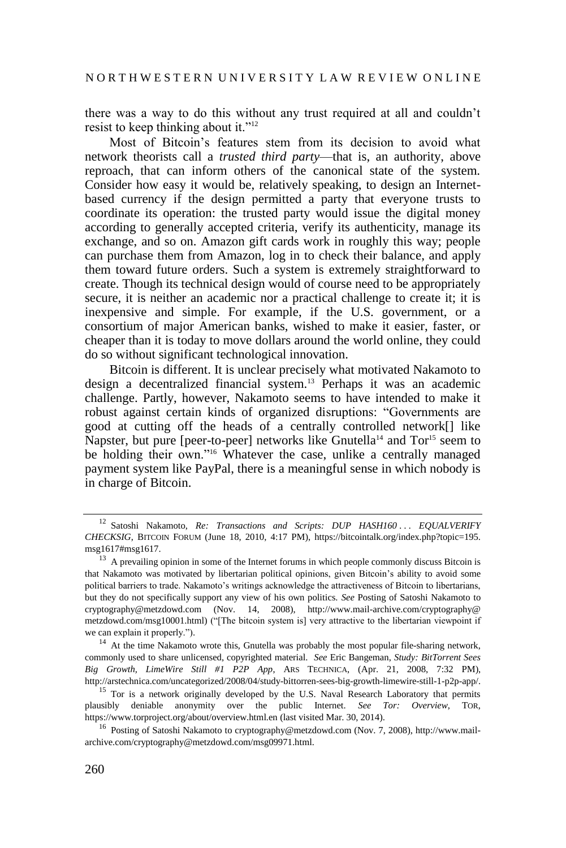there was a way to do this without any trust required at all and couldn't resist to keep thinking about it."<sup>12</sup>

Most of Bitcoin's features stem from its decision to avoid what network theorists call a *trusted third party*—that is, an authority, above reproach, that can inform others of the canonical state of the system. Consider how easy it would be, relatively speaking, to design an Internetbased currency if the design permitted a party that everyone trusts to coordinate its operation: the trusted party would issue the digital money according to generally accepted criteria, verify its authenticity, manage its exchange, and so on. Amazon gift cards work in roughly this way; people can purchase them from Amazon, log in to check their balance, and apply them toward future orders. Such a system is extremely straightforward to create. Though its technical design would of course need to be appropriately secure, it is neither an academic nor a practical challenge to create it; it is inexpensive and simple. For example, if the U.S. government, or a consortium of major American banks, wished to make it easier, faster, or cheaper than it is today to move dollars around the world online, they could do so without significant technological innovation.

Bitcoin is different. It is unclear precisely what motivated Nakamoto to design a decentralized financial system.<sup>13</sup> Perhaps it was an academic challenge. Partly, however, Nakamoto seems to have intended to make it robust against certain kinds of organized disruptions: "Governments are good at cutting off the heads of a centrally controlled network[] like Napster, but pure [peer-to-peer] networks like Gnutella<sup>14</sup> and  $Tor<sup>15</sup>$  seem to be holding their own."<sup>16</sup> Whatever the case, unlike a centrally managed payment system like PayPal, there is a meaningful sense in which nobody is in charge of Bitcoin.

<sup>12</sup> Satoshi Nakamoto, *Re: Transactions and Scripts: DUP HASH160 . . . EQUALVERIFY CHECKSIG*, BITCOIN FORUM (June 18, 2010, 4:17 PM), https://bitcointalk.org/index.php?topic=195. msg1617#msg1617.

 $13$  A prevailing opinion in some of the Internet forums in which people commonly discuss Bitcoin is that Nakamoto was motivated by libertarian political opinions, given Bitcoin's ability to avoid some political barriers to trade. Nakamoto's writings acknowledge the attractiveness of Bitcoin to libertarians, but they do not specifically support any view of his own politics. *See* Posting of Satoshi Nakamoto to cryptography@metzdowd.com (Nov. 14, 2008), http://www.mail-archive.com/cryptography@ metzdowd.com/msg10001.html) ("[The bitcoin system is] very attractive to the libertarian viewpoint if we can explain it properly.").

<sup>&</sup>lt;sup>14</sup> At the time Nakamoto wrote this, Gnutella was probably the most popular file-sharing network, commonly used to share unlicensed, copyrighted material. *See* Eric Bangeman, *Study: BitTorrent Sees Big Growth, LimeWire Still #1 P2P App*, ARS TECHNICA, (Apr. 21, 2008, 7:32 PM), http://arstechnica.com/uncategorized/2008/04/study-bittorren-sees-big-growth-limewire-still-1-p2p-app/.

<sup>&</sup>lt;sup>15</sup> Tor is a network originally developed by the U.S. Naval Research Laboratory that permits plausibly deniable anonymity over the public Internet. *See Tor: Overview*, TOR, https://www.torproject.org/about/overview.html.en (last visited Mar. 30, 2014).

<sup>&</sup>lt;sup>16</sup> Posting of Satoshi Nakamoto to cryptography@metzdowd.com (Nov. 7, 2008), http://www.mailarchive.com/cryptography@metzdowd.com/msg09971.html.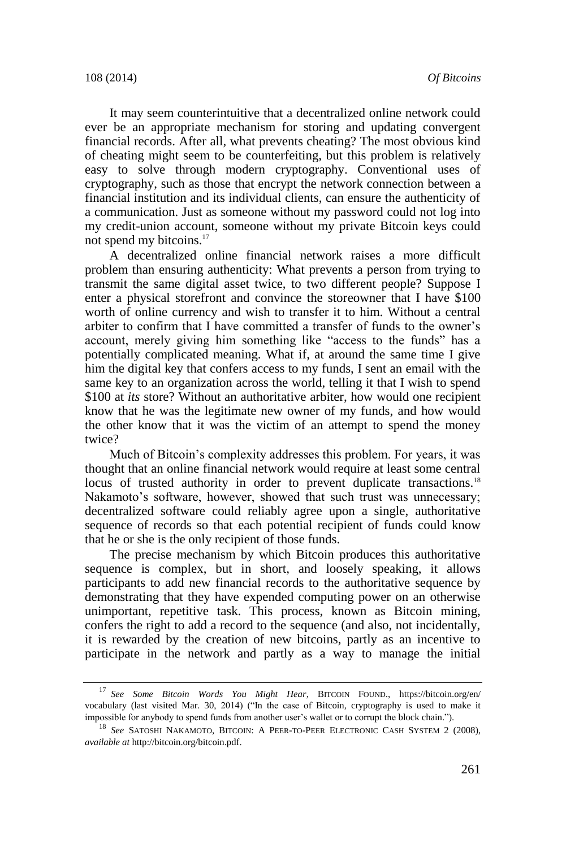It may seem counterintuitive that a decentralized online network could ever be an appropriate mechanism for storing and updating convergent financial records. After all, what prevents cheating? The most obvious kind of cheating might seem to be counterfeiting, but this problem is relatively easy to solve through modern cryptography. Conventional uses of cryptography, such as those that encrypt the network connection between a financial institution and its individual clients, can ensure the authenticity of a communication. Just as someone without my password could not log into my credit-union account, someone without my private Bitcoin keys could not spend my bitcoins.<sup>17</sup>

A decentralized online financial network raises a more difficult problem than ensuring authenticity: What prevents a person from trying to transmit the same digital asset twice, to two different people? Suppose I enter a physical storefront and convince the storeowner that I have \$100 worth of online currency and wish to transfer it to him. Without a central arbiter to confirm that I have committed a transfer of funds to the owner's account, merely giving him something like "access to the funds" has a potentially complicated meaning. What if, at around the same time I give him the digital key that confers access to my funds, I sent an email with the same key to an organization across the world, telling it that I wish to spend \$100 at *its* store? Without an authoritative arbiter, how would one recipient know that he was the legitimate new owner of my funds, and how would the other know that it was the victim of an attempt to spend the money twice?

Much of Bitcoin's complexity addresses this problem. For years, it was thought that an online financial network would require at least some central locus of trusted authority in order to prevent duplicate transactions.<sup>18</sup> Nakamoto's software, however, showed that such trust was unnecessary; decentralized software could reliably agree upon a single, authoritative sequence of records so that each potential recipient of funds could know that he or she is the only recipient of those funds.

The precise mechanism by which Bitcoin produces this authoritative sequence is complex, but in short, and loosely speaking, it allows participants to add new financial records to the authoritative sequence by demonstrating that they have expended computing power on an otherwise unimportant, repetitive task. This process, known as Bitcoin mining, confers the right to add a record to the sequence (and also, not incidentally, it is rewarded by the creation of new bitcoins, partly as an incentive to participate in the network and partly as a way to manage the initial

<sup>17</sup> *See Some Bitcoin Words You Might Hear*, BITCOIN FOUND., https://bitcoin.org/en/ vocabulary (last visited Mar. 30, 2014) ("In the case of Bitcoin, cryptography is used to make it impossible for anybody to spend funds from another user's wallet or to corrupt the block chain.").

<sup>&</sup>lt;sup>18</sup> See SATOSHI NAKAMOTO, BITCOIN: A PEER-TO-PEER ELECTRONIC CASH SYSTEM 2 (2008), *available at* http://bitcoin.org/bitcoin.pdf.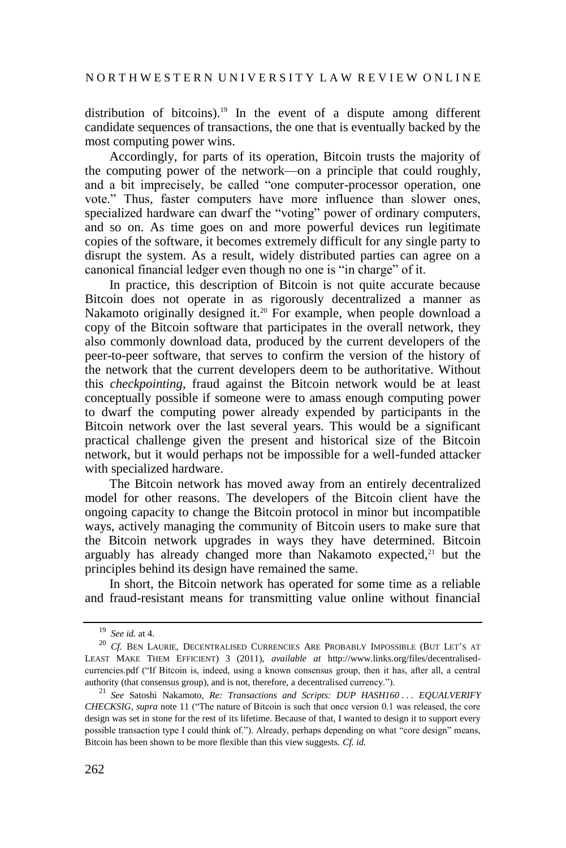distribution of bitcoins).<sup>19</sup> In the event of a dispute among different candidate sequences of transactions, the one that is eventually backed by the most computing power wins.

Accordingly, for parts of its operation, Bitcoin trusts the majority of the computing power of the network—on a principle that could roughly, and a bit imprecisely, be called "one computer-processor operation, one vote." Thus, faster computers have more influence than slower ones, specialized hardware can dwarf the "voting" power of ordinary computers, and so on. As time goes on and more powerful devices run legitimate copies of the software, it becomes extremely difficult for any single party to disrupt the system. As a result, widely distributed parties can agree on a canonical financial ledger even though no one is "in charge" of it.

<span id="page-5-0"></span>In practice, this description of Bitcoin is not quite accurate because Bitcoin does not operate in as rigorously decentralized a manner as Nakamoto originally designed it.<sup>20</sup> For example, when people download a copy of the Bitcoin software that participates in the overall network, they also commonly download data, produced by the current developers of the peer-to-peer software, that serves to confirm the version of the history of the network that the current developers deem to be authoritative. Without this *checkpointing*, fraud against the Bitcoin network would be at least conceptually possible if someone were to amass enough computing power to dwarf the computing power already expended by participants in the Bitcoin network over the last several years. This would be a significant practical challenge given the present and historical size of the Bitcoin network, but it would perhaps not be impossible for a well-funded attacker with specialized hardware.

The Bitcoin network has moved away from an entirely decentralized model for other reasons. The developers of the Bitcoin client have the ongoing capacity to change the Bitcoin protocol in minor but incompatible ways, actively managing the community of Bitcoin users to make sure that the Bitcoin network upgrades in ways they have determined. Bitcoin arguably has already changed more than Nakamoto expected,<sup>21</sup> but the principles behind its design have remained the same.

In short, the Bitcoin network has operated for some time as a reliable and fraud-resistant means for transmitting value online without financial

<span id="page-5-1"></span><sup>19</sup> *See id.* at 4.

<sup>&</sup>lt;sup>20</sup> Cf. BEN LAURIE, DECENTRALISED CURRENCIES ARE PROBABLY IMPOSSIBLE (BUT LET'S AT LEAST MAKE THEM EFFICIENT) 3 (2011), *available at* http://www.links.org/files/decentralisedcurrencies.pdf ("If Bitcoin is, indeed, using a known consensus group, then it has, after all, a central authority (that consensus group), and is not, therefore, a decentralised currency.").

<sup>21</sup> *See* Satoshi Nakamoto, *Re: Transactions and Scripts: DUP HASH160 . . . EQUALVERIFY CHECKSIG*, *supra* not[e 11](#page-2-1) ("The nature of Bitcoin is such that once version 0.1 was released, the core design was set in stone for the rest of its lifetime. Because of that, I wanted to design it to support every possible transaction type I could think of."). Already, perhaps depending on what "core design" means, Bitcoin has been shown to be more flexible than this view suggests. *Cf. id.*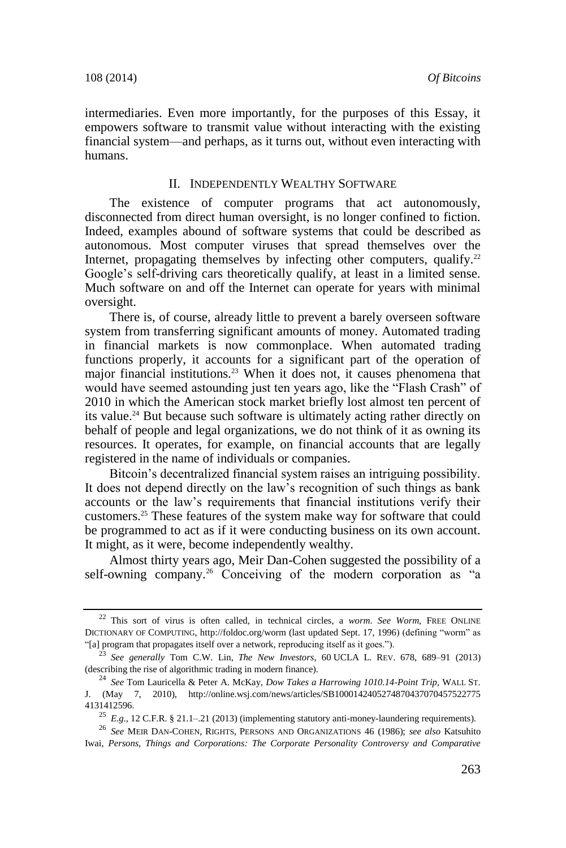intermediaries. Even more importantly, for the purposes of this Essay, it empowers software to transmit value without interacting with the existing financial system—and perhaps, as it turns out, without even interacting with humans.

#### II. INDEPENDENTLY WEALTHY SOFTWARE

The existence of computer programs that act autonomously, disconnected from direct human oversight, is no longer confined to fiction. Indeed, examples abound of software systems that could be described as autonomous. Most computer viruses that spread themselves over the Internet, propagating themselves by infecting other computers, qualify. $22$ Google's self-driving cars theoretically qualify, at least in a limited sense. Much software on and off the Internet can operate for years with minimal oversight.

<span id="page-6-1"></span>There is, of course, already little to prevent a barely overseen software system from transferring significant amounts of money. Automated trading in financial markets is now commonplace. When automated trading functions properly, it accounts for a significant part of the operation of major financial institutions.<sup>23</sup> When it does not, it causes phenomena that would have seemed astounding just ten years ago, like the "Flash Crash" of 2010 in which the American stock market briefly lost almost ten percent of its value.<sup>24</sup> But because such software is ultimately acting rather directly on behalf of people and legal organizations, we do not think of it as owning its resources. It operates, for example, on financial accounts that are legally registered in the name of individuals or companies.

Bitcoin's decentralized financial system raises an intriguing possibility. It does not depend directly on the law's recognition of such things as bank accounts or the law's requirements that financial institutions verify their customers.<sup>25</sup> These features of the system make way for software that could be programmed to act as if it were conducting business on its own account. It might, as it were, become independently wealthy.

<span id="page-6-0"></span>Almost thirty years ago, Meir Dan-Cohen suggested the possibility of a self-owning company.<sup>26</sup> Conceiving of the modern corporation as "a

<sup>22</sup> This sort of virus is often called, in technical circles, a *worm*. *See Worm*, FREE ONLINE DICTIONARY OF COMPUTING, http://foldoc.org/worm (last updated Sept. 17, 1996) (defining "worm" as "[a] program that propagates itself over a network, reproducing itself as it goes.").

<sup>23</sup> *See generally* Tom C.W. Lin, *The New Investors*, 60 UCLA L. REV. 678, 689–91 (2013) (describing the rise of algorithmic trading in modern finance).

<sup>24</sup> *See* Tom Lauricella & Peter A. McKay, *Dow Takes a Harrowing 1010.14-Point Trip*, WALL ST. J. (May 7, 2010), http://online.wsj.com/news/articles/SB1000142405274870437070457522775 4131412596.

<sup>&</sup>lt;sup>25</sup>  $E.g., 12$  C.F.R. § 21.1–.21 (2013) (implementing statutory anti-money-laundering requirements).

<sup>26</sup> *See* MEIR DAN-COHEN, RIGHTS, PERSONS AND ORGANIZATIONS 46 (1986); *see also* Katsuhito Iwai, *Persons, Things and Corporations: The Corporate Personality Controversy and Comparative*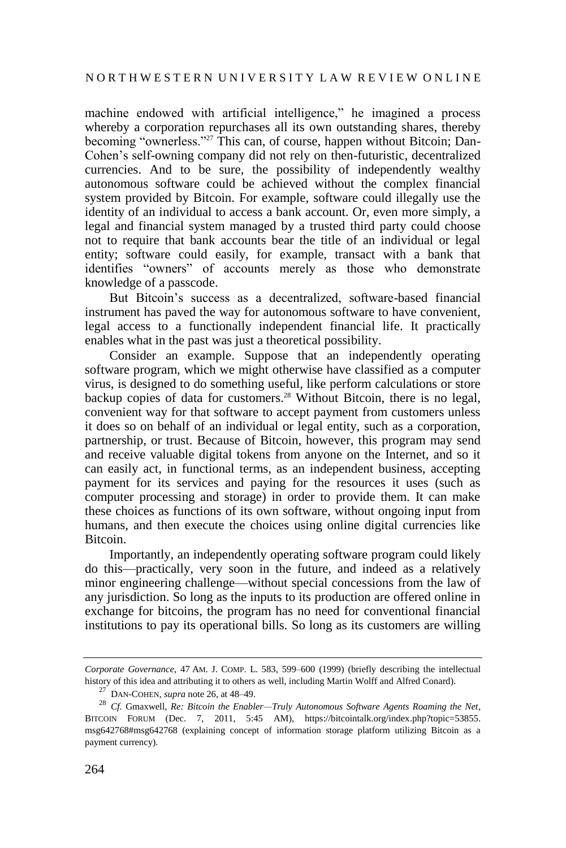machine endowed with artificial intelligence," he imagined a process whereby a corporation repurchases all its own outstanding shares, thereby becoming "ownerless."<sup>27</sup> This can, of course, happen without Bitcoin; Dan-Cohen's self-owning company did not rely on then-futuristic, decentralized currencies. And to be sure, the possibility of independently wealthy autonomous software could be achieved without the complex financial system provided by Bitcoin. For example, software could illegally use the identity of an individual to access a bank account. Or, even more simply, a legal and financial system managed by a trusted third party could choose not to require that bank accounts bear the title of an individual or legal entity; software could easily, for example, transact with a bank that identifies "owners" of accounts merely as those who demonstrate knowledge of a passcode.

But Bitcoin's success as a decentralized, software-based financial instrument has paved the way for autonomous software to have convenient, legal access to a functionally independent financial life. It practically enables what in the past was just a theoretical possibility.

<span id="page-7-0"></span>Consider an example. Suppose that an independently operating software program, which we might otherwise have classified as a computer virus, is designed to do something useful, like perform calculations or store backup copies of data for customers.<sup>28</sup> Without Bitcoin, there is no legal, convenient way for that software to accept payment from customers unless it does so on behalf of an individual or legal entity, such as a corporation, partnership, or trust. Because of Bitcoin, however, this program may send and receive valuable digital tokens from anyone on the Internet, and so it can easily act, in functional terms, as an independent business, accepting payment for its services and paying for the resources it uses (such as computer processing and storage) in order to provide them. It can make these choices as functions of its own software, without ongoing input from humans, and then execute the choices using online digital currencies like Bitcoin.

Importantly, an independently operating software program could likely do this—practically, very soon in the future, and indeed as a relatively minor engineering challenge—without special concessions from the law of any jurisdiction. So long as the inputs to its production are offered online in exchange for bitcoins, the program has no need for conventional financial institutions to pay its operational bills. So long as its customers are willing

*Corporate Governance*, 47 AM. J. COMP. L. 583, 599–600 (1999) (briefly describing the intellectual history of this idea and attributing it to others as well, including Martin Wolff and Alfred Conard).

<sup>27</sup> DAN-COHEN, *supra* not[e 26,](#page-6-0) at 48–49.

<sup>28</sup> *Cf.* Gmaxwell, *Re: Bitcoin the Enabler—Truly Autonomous Software Agents Roaming the Net*, BITCOIN FORUM (Dec. 7, 2011, 5:45 AM), https://bitcointalk.org/index.php?topic=53855. msg642768#msg642768 (explaining concept of information storage platform utilizing Bitcoin as a payment currency).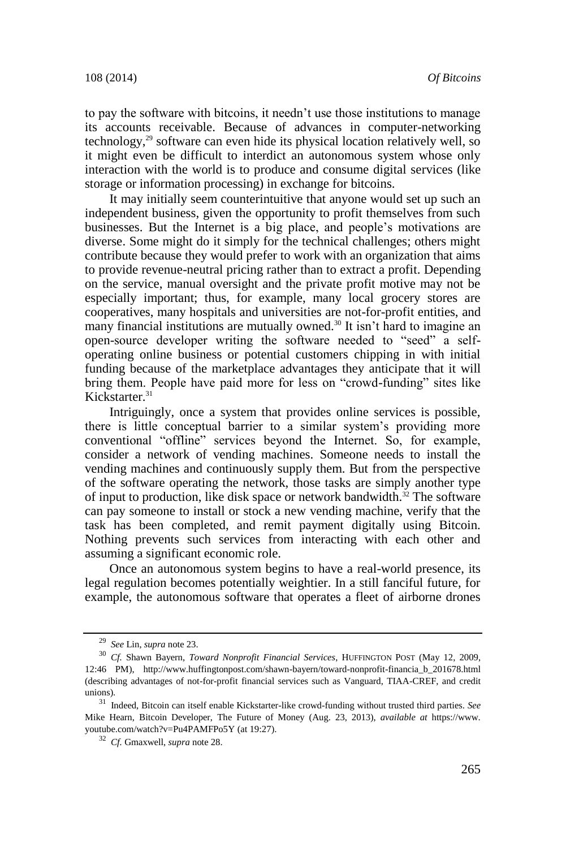to pay the software with bitcoins, it needn't use those institutions to manage its accounts receivable. Because of advances in computer-networking technology,<sup>29</sup> software can even hide its physical location relatively well, so it might even be difficult to interdict an autonomous system whose only interaction with the world is to produce and consume digital services (like storage or information processing) in exchange for bitcoins.

It may initially seem counterintuitive that anyone would set up such an independent business, given the opportunity to profit themselves from such businesses. But the Internet is a big place, and people's motivations are diverse. Some might do it simply for the technical challenges; others might contribute because they would prefer to work with an organization that aims to provide revenue-neutral pricing rather than to extract a profit. Depending on the service, manual oversight and the private profit motive may not be especially important; thus, for example, many local grocery stores are cooperatives, many hospitals and universities are not-for-profit entities, and many financial institutions are mutually owned.<sup>30</sup> It isn't hard to imagine an open-source developer writing the software needed to "seed" a selfoperating online business or potential customers chipping in with initial funding because of the marketplace advantages they anticipate that it will bring them. People have paid more for less on "crowd-funding" sites like Kickstarter.<sup>31</sup>

<span id="page-8-0"></span>Intriguingly, once a system that provides online services is possible, there is little conceptual barrier to a similar system's providing more conventional "offline" services beyond the Internet. So, for example, consider a network of vending machines. Someone needs to install the vending machines and continuously supply them. But from the perspective of the software operating the network, those tasks are simply another type of input to production, like disk space or network bandwidth.<sup>32</sup> The software can pay someone to install or stock a new vending machine, verify that the task has been completed, and remit payment digitally using Bitcoin. Nothing prevents such services from interacting with each other and assuming a significant economic role.

Once an autonomous system begins to have a real-world presence, its legal regulation becomes potentially weightier. In a still fanciful future, for example, the autonomous software that operates a fleet of airborne drones

<sup>29</sup> *See* Lin, *supra* not[e 23.](#page-6-1)

<sup>30</sup> *Cf.* Shawn Bayern, *Toward Nonprofit Financial Services*, HUFFINGTON POST (May 12, 2009, 12:46 PM), http://www.huffingtonpost.com/shawn-bayern/toward-nonprofit-financia\_b\_201678.html (describing advantages of not-for-profit financial services such as Vanguard, TIAA-CREF, and credit unions).

<sup>31</sup> Indeed, Bitcoin can itself enable Kickstarter-like crowd-funding without trusted third parties. *See*  Mike Hearn, Bitcoin Developer, The Future of Money (Aug. 23, 2013), *available at* https://www. youtube.com/watch?v=Pu4PAMFPo5Y (at 19:27).

<sup>32</sup> *Cf.* Gmaxwell, *supra* not[e 28.](#page-7-0)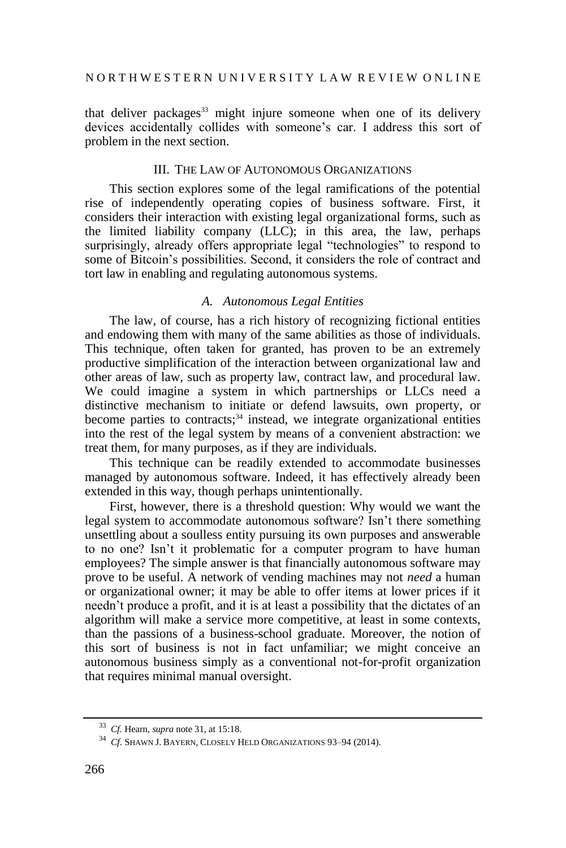# N O R T H W E S T E R N U N I V E R S I T Y L A W R E V I E W O N L I N E

that deliver packages<sup>33</sup> might injure someone when one of its delivery devices accidentally collides with someone's car. I address this sort of problem in the next section.

# III. THE LAW OF AUTONOMOUS ORGANIZATIONS

This section explores some of the legal ramifications of the potential rise of independently operating copies of business software. First, it considers their interaction with existing legal organizational forms, such as the limited liability company (LLC); in this area, the law, perhaps surprisingly, already offers appropriate legal "technologies" to respond to some of Bitcoin's possibilities. Second, it considers the role of contract and tort law in enabling and regulating autonomous systems.

#### <span id="page-9-0"></span>*A. Autonomous Legal Entities*

The law, of course, has a rich history of recognizing fictional entities and endowing them with many of the same abilities as those of individuals. This technique, often taken for granted, has proven to be an extremely productive simplification of the interaction between organizational law and other areas of law, such as property law, contract law, and procedural law. We could imagine a system in which partnerships or LLCs need a distinctive mechanism to initiate or defend lawsuits, own property, or become parties to contracts; $34$  instead, we integrate organizational entities into the rest of the legal system by means of a convenient abstraction: we treat them, for many purposes, as if they are individuals.

This technique can be readily extended to accommodate businesses managed by autonomous software. Indeed, it has effectively already been extended in this way, though perhaps unintentionally.

First, however, there is a threshold question: Why would we want the legal system to accommodate autonomous software? Isn't there something unsettling about a soulless entity pursuing its own purposes and answerable to no one? Isn't it problematic for a computer program to have human employees? The simple answer is that financially autonomous software may prove to be useful. A network of vending machines may not *need* a human or organizational owner; it may be able to offer items at lower prices if it needn't produce a profit, and it is at least a possibility that the dictates of an algorithm will make a service more competitive, at least in some contexts, than the passions of a business-school graduate. Moreover, the notion of this sort of business is not in fact unfamiliar; we might conceive an autonomous business simply as a conventional not-for-profit organization that requires minimal manual oversight.

<sup>33</sup> *Cf.* Hearn, *supra* not[e 31,](#page-8-0) at 15:18.

<sup>34</sup> *Cf*. SHAWN J. BAYERN, CLOSELY HELD ORGANIZATIONS 93–94 (2014).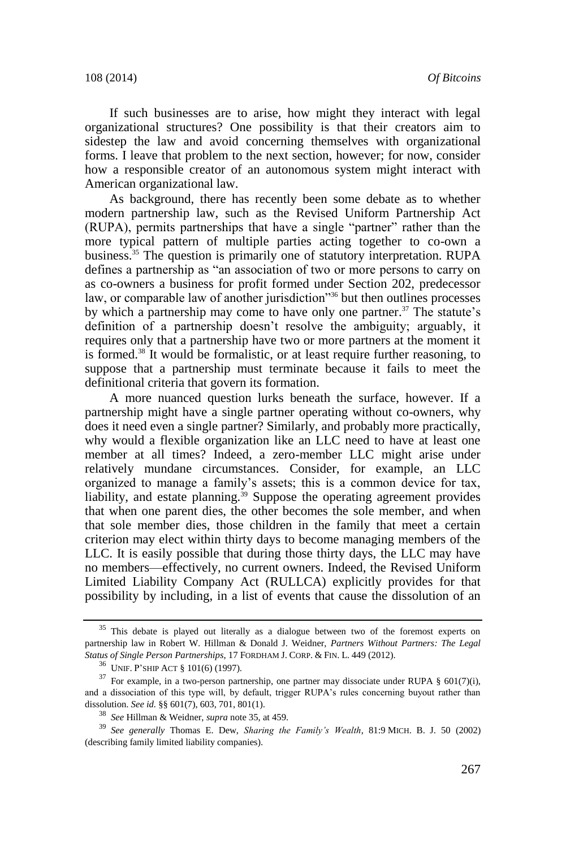If such businesses are to arise, how might they interact with legal organizational structures? One possibility is that their creators aim to sidestep the law and avoid concerning themselves with organizational forms. I leave that problem to the next section, however; for now, consider how a responsible creator of an autonomous system might interact with American organizational law.

<span id="page-10-0"></span>As background, there has recently been some debate as to whether modern partnership law, such as the Revised Uniform Partnership Act (RUPA), permits partnerships that have a single "partner" rather than the more typical pattern of multiple parties acting together to co-own a business.<sup>35</sup> The question is primarily one of statutory interpretation. RUPA defines a partnership as "an association of two or more persons to carry on as co-owners a business for profit formed under Section 202, predecessor law, or comparable law of another jurisdiction<sup>336</sup> but then outlines processes by which a partnership may come to have only one partner.<sup>37</sup> The statute's definition of a partnership doesn't resolve the ambiguity; arguably, it requires only that a partnership have two or more partners at the moment it is formed.<sup>38</sup> It would be formalistic, or at least require further reasoning, to suppose that a partnership must terminate because it fails to meet the definitional criteria that govern its formation.

A more nuanced question lurks beneath the surface, however. If a partnership might have a single partner operating without co-owners, why does it need even a single partner? Similarly, and probably more practically, why would a flexible organization like an LLC need to have at least one member at all times? Indeed, a zero-member LLC might arise under relatively mundane circumstances. Consider, for example, an LLC organized to manage a family's assets; this is a common device for tax, liability, and estate planning.<sup>39</sup> Suppose the operating agreement provides that when one parent dies, the other becomes the sole member, and when that sole member dies, those children in the family that meet a certain criterion may elect within thirty days to become managing members of the LLC. It is easily possible that during those thirty days, the LLC may have no members—effectively, no current owners. Indeed, the Revised Uniform Limited Liability Company Act (RULLCA) explicitly provides for that possibility by including, in a list of events that cause the dissolution of an

<sup>&</sup>lt;sup>35</sup> This debate is played out literally as a dialogue between two of the foremost experts on partnership law in Robert W. Hillman & Donald J. Weidner, *Partners Without Partners: The Legal Status of Single Person Partnerships*, 17 FORDHAM J. CORP. & FIN. L. 449 (2012).

<sup>36</sup> UNIF. P'SHIP ACT § 101(6) (1997).

 $37$  For example, in a two-person partnership, one partner may dissociate under RUPA § 601(7)(i), and a dissociation of this type will, by default, trigger RUPA's rules concerning buyout rather than dissolution. *See id.* §§ 601(7), 603, 701, 801(1).

<sup>38</sup> *See* Hillman & Weidner, *supra* not[e 35,](#page-10-0) at 459.

<sup>39</sup> *See generally* Thomas E. Dew, *Sharing the Family's Wealth*, 81:9 MICH. B. J. 50 (2002) (describing family limited liability companies).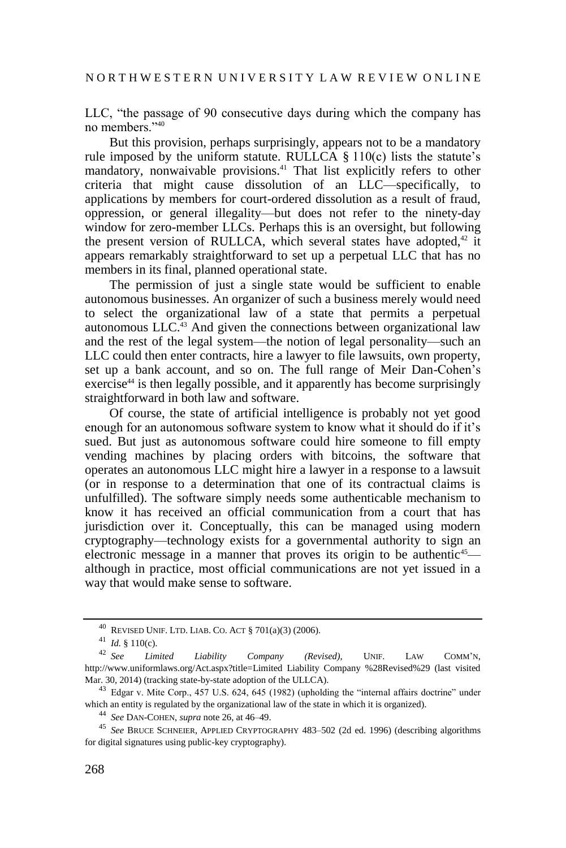# N O R T H W E S T E R N U N I V E R S I T Y L A W R E V I E W O N L I N E

LLC, "the passage of 90 consecutive days during which the company has no members."<sup>40</sup>

But this provision, perhaps surprisingly, appears not to be a mandatory rule imposed by the uniform statute. RULLCA  $\S 110(c)$  lists the statute's mandatory, nonwaivable provisions.<sup>41</sup> That list explicitly refers to other criteria that might cause dissolution of an LLC—specifically, to applications by members for court-ordered dissolution as a result of fraud, oppression, or general illegality—but does not refer to the ninety-day window for zero-member LLCs. Perhaps this is an oversight, but following the present version of RULLCA, which several states have adopted, $42$  it appears remarkably straightforward to set up a perpetual LLC that has no members in its final, planned operational state.

The permission of just a single state would be sufficient to enable autonomous businesses. An organizer of such a business merely would need to select the organizational law of a state that permits a perpetual autonomous LLC.<sup>43</sup> And given the connections between organizational law and the rest of the legal system—the notion of legal personality—such an LLC could then enter contracts, hire a lawyer to file lawsuits, own property, set up a bank account, and so on. The full range of Meir Dan-Cohen's exercise<sup>44</sup> is then legally possible, and it apparently has become surprisingly straightforward in both law and software.

Of course, the state of artificial intelligence is probably not yet good enough for an autonomous software system to know what it should do if it's sued. But just as autonomous software could hire someone to fill empty vending machines by placing orders with bitcoins, the software that operates an autonomous LLC might hire a lawyer in a response to a lawsuit (or in response to a determination that one of its contractual claims is unfulfilled). The software simply needs some authenticable mechanism to know it has received an official communication from a court that has jurisdiction over it. Conceptually, this can be managed using modern cryptography—technology exists for a governmental authority to sign an electronic message in a manner that proves its origin to be authentic<sup>45</sup> although in practice, most official communications are not yet issued in a way that would make sense to software.

 $^{40}$  Revised Unif. Ltd. Liab. Co. Act § 701(a)(3) (2006).

<sup>&</sup>lt;sup>41</sup> *Id.* § 110(c).

 $42 \,$  See Limited Liability Company (Revised), UNIF. LAW COMM'N, http://www.uniformlaws.org/Act.aspx?title=Limited Liability Company %28Revised%29 (last visited Mar. 30, 2014) (tracking state-by-state adoption of the ULLCA).

 $^{43}$  Edgar v. Mite Corp., 457 U.S. 624, 645 (1982) (upholding the "internal affairs doctrine" under which an entity is regulated by the organizational law of the state in which it is organized).

<sup>44</sup> *See* DAN-COHEN, *supra* not[e 26,](#page-6-0) at 46–49.

<sup>45</sup> *See* BRUCE SCHNEIER, APPLIED CRYPTOGRAPHY 483–502 (2d ed. 1996) (describing algorithms for digital signatures using public-key cryptography).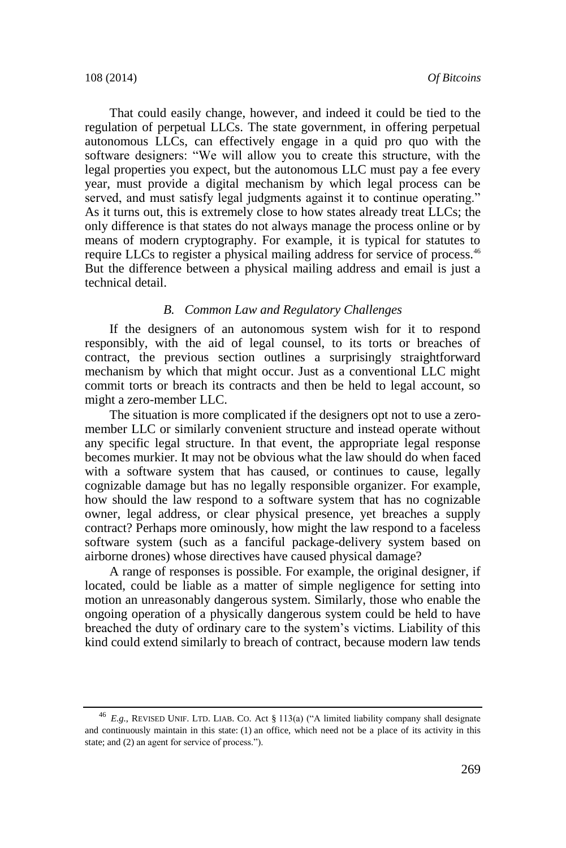That could easily change, however, and indeed it could be tied to the regulation of perpetual LLCs. The state government, in offering perpetual autonomous LLCs, can effectively engage in a quid pro quo with the software designers: "We will allow you to create this structure, with the legal properties you expect, but the autonomous LLC must pay a fee every year, must provide a digital mechanism by which legal process can be served, and must satisfy legal judgments against it to continue operating." As it turns out, this is extremely close to how states already treat LLCs; the only difference is that states do not always manage the process online or by means of modern cryptography. For example, it is typical for statutes to require LLCs to register a physical mailing address for service of process.<sup>46</sup> But the difference between a physical mailing address and email is just a technical detail.

# *B. Common Law and Regulatory Challenges*

If the designers of an autonomous system wish for it to respond responsibly, with the aid of legal counsel, to its torts or breaches of contract, the previous section outlines a surprisingly straightforward mechanism by which that might occur. Just as a conventional LLC might commit torts or breach its contracts and then be held to legal account, so might a zero-member LLC.

The situation is more complicated if the designers opt not to use a zeromember LLC or similarly convenient structure and instead operate without any specific legal structure. In that event, the appropriate legal response becomes murkier. It may not be obvious what the law should do when faced with a software system that has caused, or continues to cause, legally cognizable damage but has no legally responsible organizer. For example, how should the law respond to a software system that has no cognizable owner, legal address, or clear physical presence, yet breaches a supply contract? Perhaps more ominously, how might the law respond to a faceless software system (such as a fanciful package-delivery system based on airborne drones) whose directives have caused physical damage?

A range of responses is possible. For example, the original designer, if located, could be liable as a matter of simple negligence for setting into motion an unreasonably dangerous system. Similarly, those who enable the ongoing operation of a physically dangerous system could be held to have breached the duty of ordinary care to the system's victims. Liability of this kind could extend similarly to breach of contract, because modern law tends

 $^{46}$  E.g., REVISED UNIF. LTD. LIAB. CO. Act § 113(a) ("A limited liability company shall designate and continuously maintain in this state: (1) an office, which need not be a place of its activity in this state; and (2) an agent for service of process.").